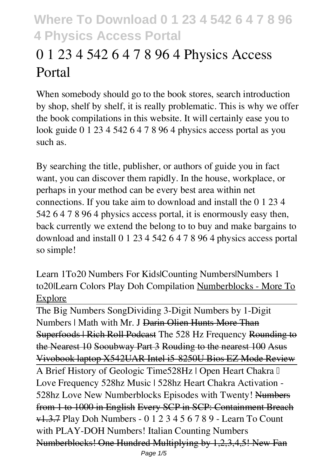# **0 1 23 4 542 6 4 7 8 96 4 Physics Access Portal**

When somebody should go to the book stores, search introduction by shop, shelf by shelf, it is really problematic. This is why we offer the book compilations in this website. It will certainly ease you to look guide **0 1 23 4 542 6 4 7 8 96 4 physics access portal** as you such as.

By searching the title, publisher, or authors of guide you in fact want, you can discover them rapidly. In the house, workplace, or perhaps in your method can be every best area within net connections. If you take aim to download and install the 0 1 23 4 542 6 4 7 8 96 4 physics access portal, it is enormously easy then, back currently we extend the belong to to buy and make bargains to download and install 0 1 23 4 542 6 4 7 8 96 4 physics access portal so simple!

*Learn 1To20 Numbers For Kids|Counting Numbers|Numbers 1 to20|Learn Colors Play Doh Compilation* Numberblocks - More To Explore

The Big Numbers Song*Dividing 3-Digit Numbers by 1-Digit Numbers | Math with Mr. J* Darin Olien Hunts More Than Superfoods | Rich Roll Podcast *The 528 Hz Frequency* Rounding to the Nearest 10 Sooubway Part 3 Rouding to the nearest 100 Asus Vivobook laptop X542UAR Intel i5-8250U Bios EZ Mode Review A Brief History of Geologic Time*528Hz | Open Heart Chakra ➤ Love Frequency 528hz Music | 528hz Heart Chakra Activation - 528hz Love* **New Numberblocks Episodes with Twenty!** Numbers from 1 to 1000 in English Every SCP in SCP: Containment Breach v1.3.7 *Play Doh Numbers - 0 1 2 3 4 5 6 7 8 9 - Learn To Count with PLAY-DOH Numbers!* Italian Counting Numbers Numberblocks! One Hundred Multiplying by 1,2,3,4,5! New Fan Page 1/5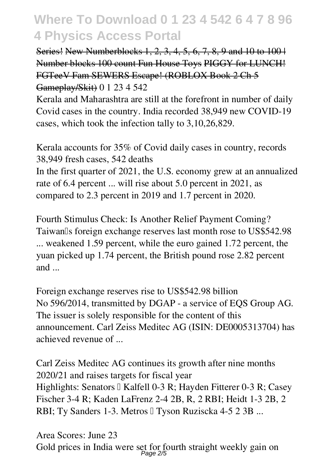Series! New Numberblocks 1, 2, 3, 4, 5, 6, 7, 8, 9 and 10 to 100 | Number blocks 100 count Fun House Toys PIGGY for LUNCH! FGTeeV Fam SEWERS Escape! (ROBLOX Book 2 Ch 5 Gameplay/Skit) *0 1 23 4 542*

Kerala and Maharashtra are still at the forefront in number of daily Covid cases in the country. India recorded 38,949 new COVID-19 cases, which took the infection tally to 3,10,26,829.

*Kerala accounts for 35% of Covid daily cases in country, records 38,949 fresh cases, 542 deaths* In the first quarter of 2021, the U.S. economy grew at an annualized rate of 6.4 percent ... will rise about 5.0 percent in 2021, as compared to 2.3 percent in 2019 and 1.7 percent in 2020.

*Fourth Stimulus Check: Is Another Relief Payment Coming?* Taiwan<sup>I</sup>s foreign exchange reserves last month rose to US\$542.98 ... weakened 1.59 percent, while the euro gained 1.72 percent, the yuan picked up 1.74 percent, the British pound rose 2.82 percent and ...

*Foreign exchange reserves rise to US\$542.98 billion* No 596/2014, transmitted by DGAP - a service of EQS Group AG. The issuer is solely responsible for the content of this announcement. Carl Zeiss Meditec AG (ISIN: DE0005313704) has achieved revenue of ...

*Carl Zeiss Meditec AG continues its growth after nine months 2020/21 and raises targets for fiscal year* Highlights: Senators II Kalfell 0-3 R; Hayden Fitterer 0-3 R; Casey Fischer 3-4 R; Kaden LaFrenz 2-4 2B, R, 2 RBI; Heidt 1-3 2B, 2 RBI; Ty Sanders 1-3. Metros II Tyson Ruziscka 4-5 2 3B ...

*Area Scores: June 23* Gold prices in India were set for fourth straight weekly gain on Page 2/5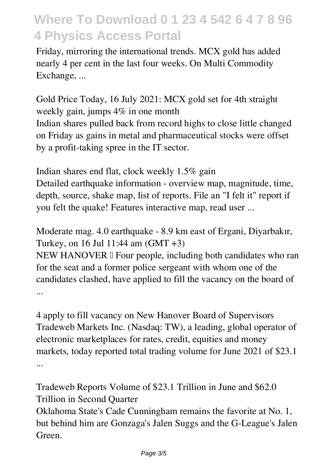Friday, mirroring the international trends. MCX gold has added nearly 4 per cent in the last four weeks. On Multi Commodity Exchange, ...

*Gold Price Today, 16 July 2021: MCX gold set for 4th straight weekly gain, jumps 4% in one month* Indian shares pulled back from record highs to close little changed on Friday as gains in metal and pharmaceutical stocks were offset by a profit-taking spree in the IT sector.

*Indian shares end flat, clock weekly 1.5% gain* Detailed earthquake information - overview map, magnitude, time, depth, source, shake map, list of reports. File an "I felt it" report if you felt the quake! Features interactive map, read user ...

*Moderate mag. 4.0 earthquake - 8.9 km east of Ergani, Diyarbakır, Turkey, on 16 Jul 11:44 am (GMT +3)*

NEW HANOVER I Four people, including both candidates who ran for the seat and a former police sergeant with whom one of the candidates clashed, have applied to fill the vacancy on the board of ...

*4 apply to fill vacancy on New Hanover Board of Supervisors* Tradeweb Markets Inc. (Nasdaq: TW), a leading, global operator of electronic marketplaces for rates, credit, equities and money markets, today reported total trading volume for June 2021 of \$23.1 ...

*Tradeweb Reports Volume of \$23.1 Trillion in June and \$62.0 Trillion in Second Quarter*

Oklahoma State's Cade Cunningham remains the favorite at No. 1, but behind him are Gonzaga's Jalen Suggs and the G-League's Jalen Green.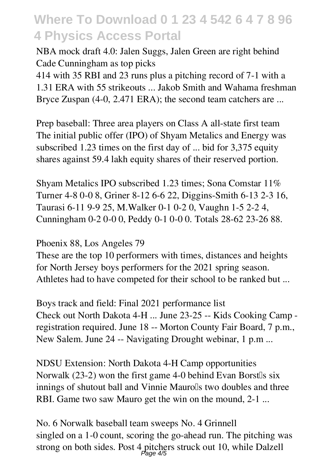*NBA mock draft 4.0: Jalen Suggs, Jalen Green are right behind Cade Cunningham as top picks*

414 with 35 RBI and 23 runs plus a pitching record of 7-1 with a 1.31 ERA with 55 strikeouts ... Jakob Smith and Wahama freshman Bryce Zuspan (4-0, 2.471 ERA); the second team catchers are ...

*Prep baseball: Three area players on Class A all-state first team* The initial public offer (IPO) of Shyam Metalics and Energy was subscribed 1.23 times on the first day of ... bid for 3,375 equity shares against 59.4 lakh equity shares of their reserved portion.

*Shyam Metalics IPO subscribed 1.23 times; Sona Comstar 11%* Turner 4-8 0-0 8, Griner 8-12 6-6 22, Diggins-Smith 6-13 2-3 16, Taurasi 6-11 9-9 25, M.Walker 0-1 0-2 0, Vaughn 1-5 2-2 4, Cunningham 0-2 0-0 0, Peddy 0-1 0-0 0. Totals 28-62 23-26 88.

*Phoenix 88, Los Angeles 79*

These are the top 10 performers with times, distances and heights for North Jersey boys performers for the 2021 spring season. Athletes had to have competed for their school to be ranked but ...

*Boys track and field: Final 2021 performance list* Check out North Dakota 4-H ... June 23-25 -- Kids Cooking Camp registration required. June 18 -- Morton County Fair Board, 7 p.m., New Salem. June 24 -- Navigating Drought webinar, 1 p.m ...

*NDSU Extension: North Dakota 4-H Camp opportunities* Norwalk  $(23-2)$  won the first game 4-0 behind Evan Borst $\mathbb{I}_s$  six innings of shutout ball and Vinnie Maurolls two doubles and three RBI. Game two saw Mauro get the win on the mound, 2-1 ...

*No. 6 Norwalk baseball team sweeps No. 4 Grinnell* singled on a 1-0 count, scoring the go-ahead run. The pitching was strong on both sides. Post 4 pitchers struck out 10, while Dalzell Page 4/5